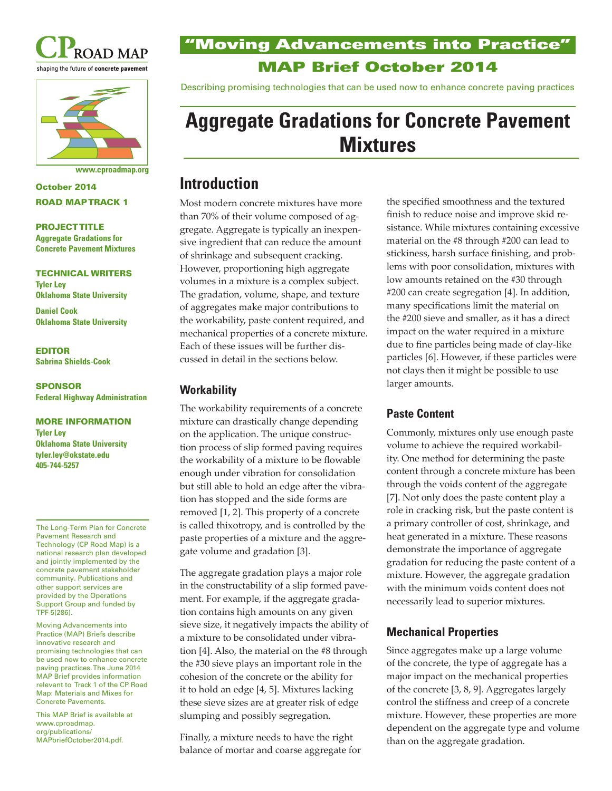



**www.cproadmap.org**

October 2014 ROAD MAP TRACK 1

#### PROJECT TITLE

**Aggregate Gradations for Concrete Pavement Mixtures**

### TECHNICAL WRITERS

**Tyler Ley Oklahoma State University**

**Daniel Cook Oklahoma State University**

#### EDITOR **Sabrina Shields-Cook**

SPONSOR **Federal Highway Administration**

#### MORE INFORMATION **Tyler Ley**

**Oklahoma State University tyler.ley@okstate.edu 405-744-5257**

The Long-Term Plan for Concrete Pavement Research and Technology (CP Road Map) is a national research plan developed and jointly implemented by the concrete pavement stakeholder community. Publications and other support services are provided by the Operations Support Group and funded by TPF-5(286).

Moving Advancements into Practice (MAP) Briefs describe innovative research and promising technologies that can be used now to enhance concrete paving practices. The June 2014 MAP Brief provides information relevant to Track 1 of the CP Road Map: Materials and Mixes for Concrete Pavements.

This MAP Brief is available at www.cproadmap. org/publications/ MAPbriefOctober2014.pdf.

# "Moving Advancements into Practice" MAP Brief October 2014

Describing promising technologies that can be used now to enhance concrete paving practices

# **Aggregate Gradations for Concrete Pavement Mixtures**

# **Introduction**

Most modern concrete mixtures have more than 70% of their volume composed of aggregate. Aggregate is typically an inexpensive ingredient that can reduce the amount of shrinkage and subsequent cracking. However, proportioning high aggregate volumes in a mixture is a complex subject. The gradation, volume, shape, and texture of aggregates make major contributions to the workability, paste content required, and mechanical properties of a concrete mixture. Each of these issues will be further discussed in detail in the sections below.

# **Workability**

The workability requirements of a concrete mixture can drastically change depending on the application. The unique construction process of slip formed paving requires the workability of a mixture to be flowable enough under vibration for consolidation but still able to hold an edge after the vibration has stopped and the side forms are removed [1, 2]. This property of a concrete is called thixotropy, and is controlled by the paste properties of a mixture and the aggregate volume and gradation [3].

The aggregate gradation plays a major role in the constructability of a slip formed pavement. For example, if the aggregate gradation contains high amounts on any given sieve size, it negatively impacts the ability of a mixture to be consolidated under vibration [4]. Also, the material on the #8 through the #30 sieve plays an important role in the cohesion of the concrete or the ability for it to hold an edge [4, 5]. Mixtures lacking these sieve sizes are at greater risk of edge slumping and possibly segregation.

Finally, a mixture needs to have the right balance of mortar and coarse aggregate for

the specified smoothness and the textured finish to reduce noise and improve skid resistance. While mixtures containing excessive material on the #8 through #200 can lead to stickiness, harsh surface finishing, and problems with poor consolidation, mixtures with low amounts retained on the #30 through #200 can create segregation [4]. In addition, many specifications limit the material on the #200 sieve and smaller, as it has a direct impact on the water required in a mixture due to fine particles being made of clay-like particles [6]. However, if these particles were not clays then it might be possible to use larger amounts.

# **Paste Content**

Commonly, mixtures only use enough paste volume to achieve the required workability. One method for determining the paste content through a concrete mixture has been through the voids content of the aggregate [7]. Not only does the paste content play a role in cracking risk, but the paste content is a primary controller of cost, shrinkage, and heat generated in a mixture. These reasons demonstrate the importance of aggregate gradation for reducing the paste content of a mixture. However, the aggregate gradation with the minimum voids content does not necessarily lead to superior mixtures.

# **Mechanical Properties**

Since aggregates make up a large volume of the concrete, the type of aggregate has a major impact on the mechanical properties of the concrete [3, 8, 9]. Aggregates largely control the stiffness and creep of a concrete mixture. However, these properties are more dependent on the aggregate type and volume than on the aggregate gradation.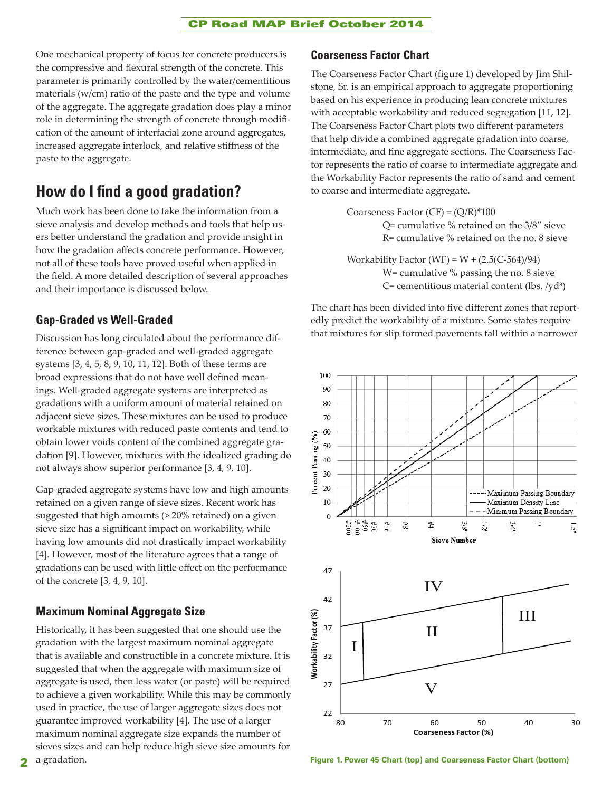### CP Road MAP Brief October 2014

One mechanical property of focus for concrete producers is the compressive and flexural strength of the concrete. This parameter is primarily controlled by the water/cementitious materials (w/cm) ratio of the paste and the type and volume of the aggregate. The aggregate gradation does play a minor role in determining the strength of concrete through modification of the amount of interfacial zone around aggregates, increased aggregate interlock, and relative stiffness of the paste to the aggregate.

# **How do I find a good gradation?**

Much work has been done to take the information from a sieve analysis and develop methods and tools that help users better understand the gradation and provide insight in how the gradation affects concrete performance. However, not all of these tools have proved useful when applied in the field. A more detailed description of several approaches and their importance is discussed below.

# **Gap-Graded vs Well-Graded**

Discussion has long circulated about the performance difference between gap-graded and well-graded aggregate systems [3, 4, 5, 8, 9, 10, 11, 12]. Both of these terms are broad expressions that do not have well defined meanings. Well-graded aggregate systems are interpreted as gradations with a uniform amount of material retained on adjacent sieve sizes. These mixtures can be used to produce workable mixtures with reduced paste contents and tend to obtain lower voids content of the combined aggregate gradation [9]. However, mixtures with the idealized grading do not always show superior performance [3, 4, 9, 10].

Gap-graded aggregate systems have low and high amounts retained on a given range of sieve sizes. Recent work has suggested that high amounts (> 20% retained) on a given sieve size has a significant impact on workability, while having low amounts did not drastically impact workability [4]. However, most of the literature agrees that a range of gradations can be used with little effect on the performance of the concrete [3, 4, 9, 10].

# **Maximum Nominal Aggregate Size**

Historically, it has been suggested that one should use the gradation with the largest maximum nominal aggregate that is available and constructible in a concrete mixture. It is suggested that when the aggregate with maximum size of aggregate is used, then less water (or paste) will be required to achieve a given workability. While this may be commonly used in practice, the use of larger aggregate sizes does not guarantee improved workability [4]. The use of a larger maximum nominal aggregate size expands the number of sieves sizes and can help reduce high sieve size amounts for

### **Coarseness Factor Chart**

The Coarseness Factor Chart (figure 1) developed by Jim Shilstone, Sr. is an empirical approach to aggregate proportioning based on his experience in producing lean concrete mixtures with acceptable workability and reduced segregation [11, 12]. The Coarseness Factor Chart plots two different parameters that help divide a combined aggregate gradation into coarse, intermediate, and fine aggregate sections. The Coarseness Factor represents the ratio of coarse to intermediate aggregate and the Workability Factor represents the ratio of sand and cement to coarse and intermediate aggregate.

> Coarseness Factor (CF) =  $(Q/R)*100$ Q= cumulative % retained on the 3/8" sieve R= cumulative % retained on the no. 8 sieve

Workability Factor (WF) =  $W + (2.5(C-564)/94)$ W= cumulative % passing the no. 8 sieve  $C=$  cementitious material content (lbs. /yd<sup>3</sup>)

The chart has been divided into five different zones that reportedly predict the workability of a mixture. Some states require that mixtures for slip formed pavements fall within a narrower



**Figure 1. Power 45 Chart (top) and Coarseness Factor Chart (bottom)**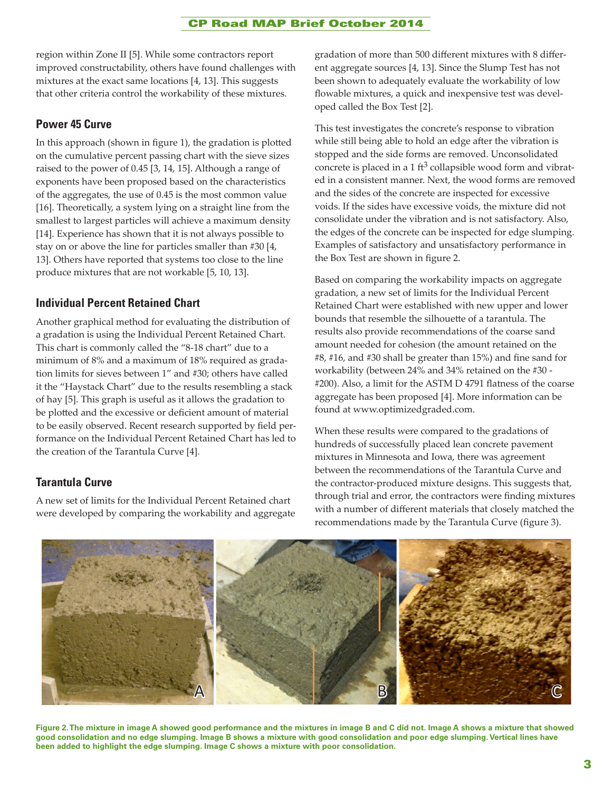#### CP Road MAP Brief October 2014

region within Zone II [5]. While some contractors report improved constructability, others have found challenges with mixtures at the exact same locations [4, 13]. This suggests that other criteria control the workability of these mixtures.

#### **Power 45 Curve**

In this approach (shown in figure 1), the gradation is plotted on the cumulative percent passing chart with the sieve sizes raised to the power of 0.45 [3, 14, 15]. Although a range of exponents have been proposed based on the characteristics of the aggregates, the use of 0.45 is the most common value [16]. Theoretically, a system lying on a straight line from the smallest to largest particles will achieve a maximum density [14]. Experience has shown that it is not always possible to stay on or above the line for particles smaller than #30 [4, 13]. Others have reported that systems too close to the line produce mixtures that are not workable [5, 10, 13].

### **Individual Percent Retained Chart**

Another graphical method for evaluating the distribution of a gradation is using the Individual Percent Retained Chart. This chart is commonly called the "8-18 chart" due to a minimum of 8% and a maximum of 18% required as gradation limits for sieves between 1" and #30; others have called it the "Haystack Chart" due to the results resembling a stack of hay [5]. This graph is useful as it allows the gradation to be plotted and the excessive or deficient amount of material to be easily observed. Recent research supported by field performance on the Individual Percent Retained Chart has led to the creation of the Tarantula Curve [4].

#### **Tarantula Curve**

A new set of limits for the Individual Percent Retained chart were developed by comparing the workability and aggregate gradation of more than 500 different mixtures with 8 different aggregate sources [4, 13]. Since the Slump Test has not been shown to adequately evaluate the workability of low flowable mixtures, a quick and inexpensive test was developed called the Box Test [2].

This test investigates the concrete's response to vibration while still being able to hold an edge after the vibration is stopped and the side forms are removed. Unconsolidated concrete is placed in a 1  $\text{ft}^3$  collapsible wood form and vibrated in a consistent manner. Next, the wood forms are removed and the sides of the concrete are inspected for excessive voids. If the sides have excessive voids, the mixture did not consolidate under the vibration and is not satisfactory. Also, the edges of the concrete can be inspected for edge slumping. Examples of satisfactory and unsatisfactory performance in the Box Test are shown in figure 2.

Based on comparing the workability impacts on aggregate gradation, a new set of limits for the Individual Percent Retained Chart were established with new upper and lower bounds that resemble the silhouette of a tarantula. The results also provide recommendations of the coarse sand amount needed for cohesion (the amount retained on the #8, #16, and #30 shall be greater than 15%) and fine sand for workability (between 24% and 34% retained on the #30 - #200). Also, a limit for the ASTM D 4791 flatness of the coarse aggregate has been proposed [4]. More information can be found at www.optimizedgraded.com.

When these results were compared to the gradations of hundreds of successfully placed lean concrete pavement mixtures in Minnesota and Iowa, there was agreement between the recommendations of the Tarantula Curve and the contractor-produced mixture designs. This suggests that, through trial and error, the contractors were finding mixtures with a number of different materials that closely matched the recommendations made by the Tarantula Curve (figure 3).



**Figure 2. The mixture in image A showed good performance and the mixtures in image B and C did not. Image A shows a mixture that showed good consolidation and no edge slumping. Image B shows a mixture with good consolidation and poor edge slumping. Vertical lines have been added to highlight the edge slumping. Image C shows a mixture with poor consolidation.**